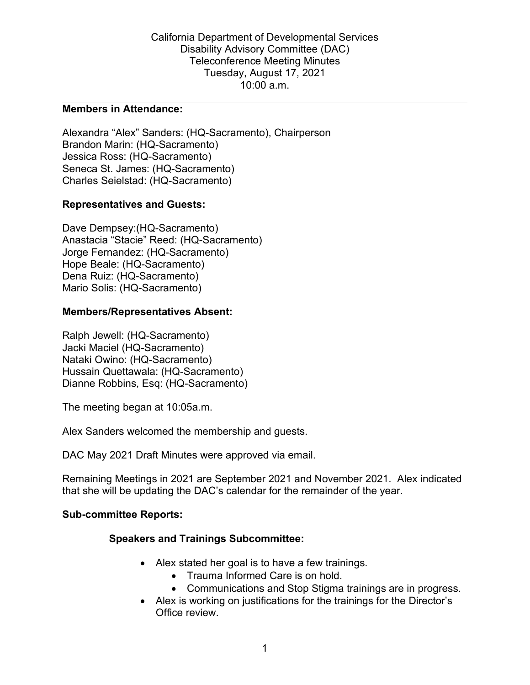#### **Members in Attendance:**

Alexandra "Alex" Sanders: (HQ-Sacramento), Chairperson Brandon Marin: (HQ-Sacramento) Jessica Ross: (HQ-Sacramento) Seneca St. James: (HQ-Sacramento) Charles Seielstad: (HQ-Sacramento)

## **Representatives and Guests:**

Dave Dempsey:(HQ-Sacramento) Anastacia "Stacie" Reed: (HQ-Sacramento) Jorge Fernandez: (HQ-Sacramento) Hope Beale: (HQ-Sacramento) Dena Ruiz: (HQ-Sacramento) Mario Solis: (HQ-Sacramento)

#### **Members/Representatives Absent:**

Ralph Jewell: (HQ-Sacramento) Jacki Maciel (HQ-Sacramento) Nataki Owino: (HQ-Sacramento) Hussain Quettawala: (HQ-Sacramento) Dianne Robbins, Esq: (HQ-Sacramento)

The meeting began at 10:05a.m.

Alex Sanders welcomed the membership and guests.

DAC May 2021 Draft Minutes were approved via email.

Remaining Meetings in 2021 are September 2021 and November 2021. Alex indicated that she will be updating the DAC's calendar for the remainder of the year.

#### **Sub-committee Reports:**

# **Speakers and Trainings Subcommittee:**

- Alex stated her goal is to have a few trainings.
	- Trauma Informed Care is on hold.
	- Communications and Stop Stigma trainings are in progress.
- Alex is working on justifications for the trainings for the Director's Office review.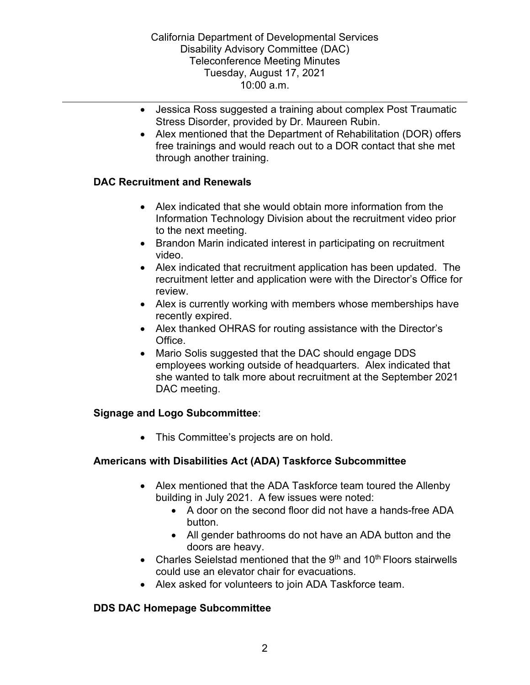- Jessica Ross suggested a training about complex Post Traumatic Stress Disorder, provided by Dr. Maureen Rubin.
- Alex mentioned that the Department of Rehabilitation (DOR) offers free trainings and would reach out to a DOR contact that she met through another training.

# **DAC Recruitment and Renewals**

- Alex indicated that she would obtain more information from the Information Technology Division about the recruitment video prior to the next meeting.
- Brandon Marin indicated interest in participating on recruitment video.
- Alex indicated that recruitment application has been updated. The recruitment letter and application were with the Director's Office for review.
- Alex is currently working with members whose memberships have recently expired.
- Alex thanked OHRAS for routing assistance with the Director's Office.
- Mario Solis suggested that the DAC should engage DDS employees working outside of headquarters. Alex indicated that she wanted to talk more about recruitment at the September 2021 DAC meeting.

# **Signage and Logo Subcommittee**:

• This Committee's projects are on hold.

# **Americans with Disabilities Act (ADA) Taskforce Subcommittee**

- Alex mentioned that the ADA Taskforce team toured the Allenby building in July 2021. A few issues were noted:
	- A door on the second floor did not have a hands-free ADA button.
	- All gender bathrooms do not have an ADA button and the doors are heavy.
- Charles Seielstad mentioned that the  $9<sup>th</sup>$  and 10<sup>th</sup> Floors stairwells could use an elevator chair for evacuations.
- Alex asked for volunteers to join ADA Taskforce team.

# **DDS DAC Homepage Subcommittee**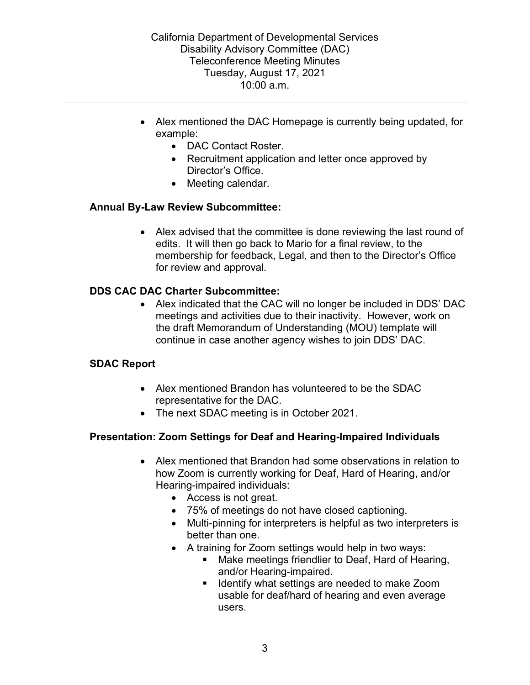- Alex mentioned the DAC Homepage is currently being updated, for example:
	- DAC Contact Roster.
	- Recruitment application and letter once approved by Director's Office.
	- Meeting calendar.

## **Annual By-Law Review Subcommittee:**

• Alex advised that the committee is done reviewing the last round of edits. It will then go back to Mario for a final review, to the membership for feedback, Legal, and then to the Director's Office for review and approval.

## **DDS CAC DAC Charter Subcommittee:**

• Alex indicated that the CAC will no longer be included in DDS' DAC meetings and activities due to their inactivity. However, work on the draft Memorandum of Understanding (MOU) template will continue in case another agency wishes to join DDS' DAC.

#### **SDAC Report**

- Alex mentioned Brandon has volunteered to be the SDAC representative for the DAC.
- The next SDAC meeting is in October 2021.

# **Presentation: Zoom Settings for Deaf and Hearing-Impaired Individuals**

- Alex mentioned that Brandon had some observations in relation to how Zoom is currently working for Deaf, Hard of Hearing, and/or Hearing-impaired individuals:
	- Access is not great.
	- 75% of meetings do not have closed captioning.
	- Multi-pinning for interpreters is helpful as two interpreters is better than one.
	- A training for Zoom settings would help in two ways:
		- **Make meetings friendlier to Deaf, Hard of Hearing,** and/or Hearing-impaired.
		- Identify what settings are needed to make Zoom usable for deaf/hard of hearing and even average users.